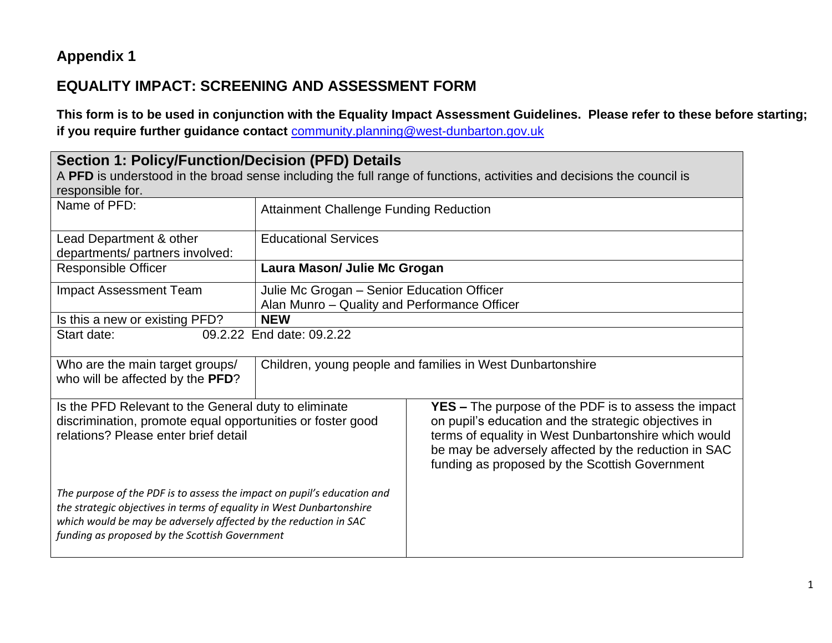## **Appendix 1**

## **EQUALITY IMPACT: SCREENING AND ASSESSMENT FORM**

**This form is to be used in conjunction with the Equality Impact Assessment Guidelines. Please refer to these before starting; if you require further guidance contact** [community.planning@west-dunbarton.gov.uk](mailto:community.planning@west-dunbarton.gov.uk)

| <b>Section 1: Policy/Function/Decision (PFD) Details</b><br>responsible for.                                                                                                                                                                                          |                                                                                            | A PFD is understood in the broad sense including the full range of functions, activities and decisions the council is                                                                                                                                                                 |  |
|-----------------------------------------------------------------------------------------------------------------------------------------------------------------------------------------------------------------------------------------------------------------------|--------------------------------------------------------------------------------------------|---------------------------------------------------------------------------------------------------------------------------------------------------------------------------------------------------------------------------------------------------------------------------------------|--|
| Name of PFD:                                                                                                                                                                                                                                                          | <b>Attainment Challenge Funding Reduction</b>                                              |                                                                                                                                                                                                                                                                                       |  |
| Lead Department & other<br>departments/ partners involved:                                                                                                                                                                                                            | <b>Educational Services</b>                                                                |                                                                                                                                                                                                                                                                                       |  |
| <b>Responsible Officer</b>                                                                                                                                                                                                                                            | Laura Mason/ Julie Mc Grogan                                                               |                                                                                                                                                                                                                                                                                       |  |
| <b>Impact Assessment Team</b>                                                                                                                                                                                                                                         | Julie Mc Grogan - Senior Education Officer<br>Alan Munro - Quality and Performance Officer |                                                                                                                                                                                                                                                                                       |  |
| Is this a new or existing PFD?                                                                                                                                                                                                                                        | <b>NEW</b>                                                                                 |                                                                                                                                                                                                                                                                                       |  |
| Start date:                                                                                                                                                                                                                                                           | 09.2.22 End date: 09.2.22                                                                  |                                                                                                                                                                                                                                                                                       |  |
| Who are the main target groups/<br>who will be affected by the PFD?                                                                                                                                                                                                   |                                                                                            | Children, young people and families in West Dunbartonshire                                                                                                                                                                                                                            |  |
| Is the PFD Relevant to the General duty to eliminate<br>discrimination, promote equal opportunities or foster good<br>relations? Please enter brief detail                                                                                                            |                                                                                            | <b>YES</b> – The purpose of the PDF is to assess the impact<br>on pupil's education and the strategic objectives in<br>terms of equality in West Dunbartonshire which would<br>be may be adversely affected by the reduction in SAC<br>funding as proposed by the Scottish Government |  |
| The purpose of the PDF is to assess the impact on pupil's education and<br>the strategic objectives in terms of equality in West Dunbartonshire<br>which would be may be adversely affected by the reduction in SAC<br>funding as proposed by the Scottish Government |                                                                                            |                                                                                                                                                                                                                                                                                       |  |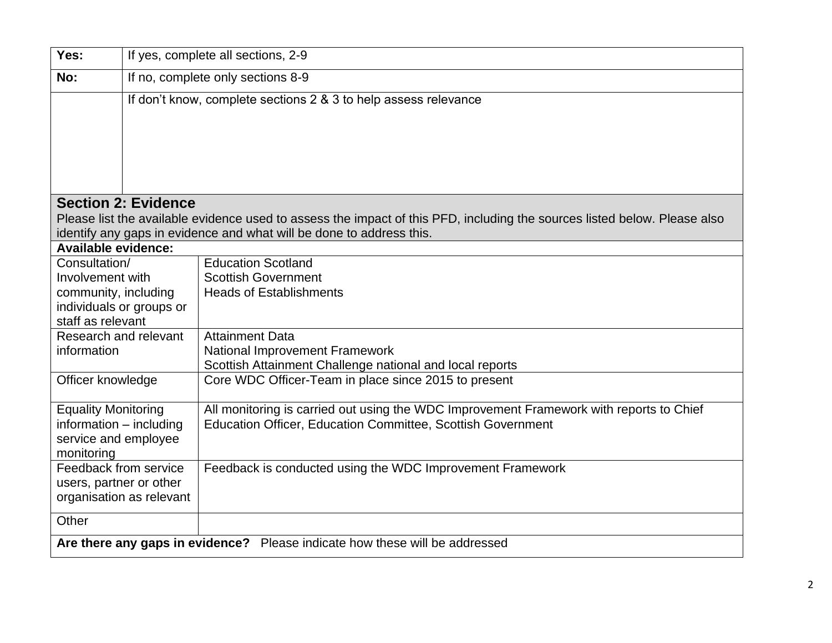| Yes:                       |                                   | If yes, complete all sections, 2-9                                                                                        |  |
|----------------------------|-----------------------------------|---------------------------------------------------------------------------------------------------------------------------|--|
| No:                        | If no, complete only sections 8-9 |                                                                                                                           |  |
|                            |                                   | If don't know, complete sections 2 & 3 to help assess relevance                                                           |  |
|                            |                                   |                                                                                                                           |  |
|                            |                                   |                                                                                                                           |  |
|                            |                                   |                                                                                                                           |  |
|                            |                                   |                                                                                                                           |  |
|                            | <b>Section 2: Evidence</b>        |                                                                                                                           |  |
|                            |                                   | Please list the available evidence used to assess the impact of this PFD, including the sources listed below. Please also |  |
|                            |                                   | identify any gaps in evidence and what will be done to address this.                                                      |  |
| <b>Available evidence:</b> |                                   |                                                                                                                           |  |
| Consultation/              |                                   | <b>Education Scotland</b>                                                                                                 |  |
| Involvement with           |                                   | <b>Scottish Government</b>                                                                                                |  |
| community, including       |                                   | <b>Heads of Establishments</b>                                                                                            |  |
|                            | individuals or groups or          |                                                                                                                           |  |
| staff as relevant          |                                   |                                                                                                                           |  |
| Research and relevant      |                                   | <b>Attainment Data</b>                                                                                                    |  |
| information                |                                   | <b>National Improvement Framework</b>                                                                                     |  |
|                            |                                   | Scottish Attainment Challenge national and local reports                                                                  |  |
| Officer knowledge          |                                   | Core WDC Officer-Team in place since 2015 to present                                                                      |  |
| <b>Equality Monitoring</b> |                                   | All monitoring is carried out using the WDC Improvement Framework with reports to Chief                                   |  |
| information - including    |                                   | <b>Education Officer, Education Committee, Scottish Government</b>                                                        |  |
| service and employee       |                                   |                                                                                                                           |  |
| monitoring                 |                                   |                                                                                                                           |  |
| Feedback from service      |                                   | Feedback is conducted using the WDC Improvement Framework                                                                 |  |
| users, partner or other    |                                   |                                                                                                                           |  |
|                            | organisation as relevant          |                                                                                                                           |  |
| Other                      |                                   |                                                                                                                           |  |
|                            |                                   | Are there any gaps in evidence? Please indicate how these will be addressed                                               |  |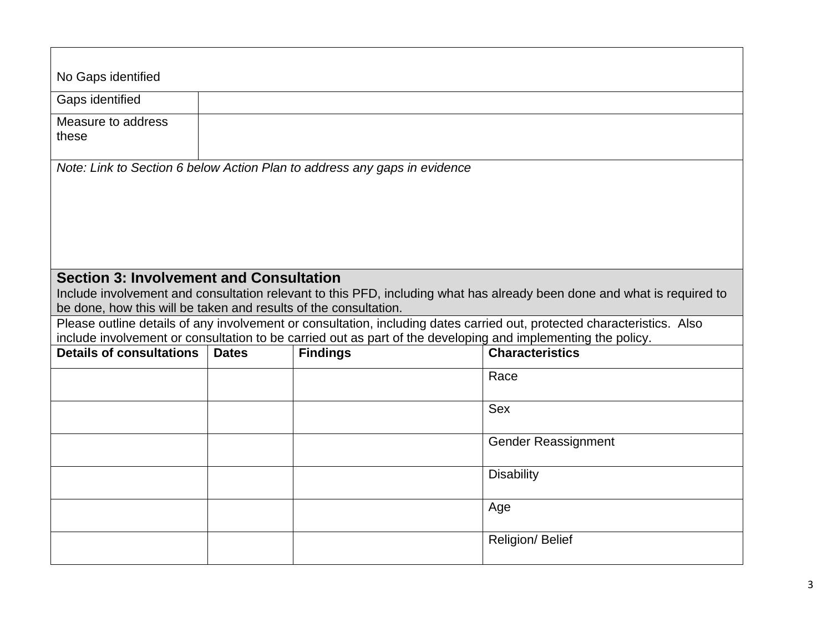| No Gaps identified                                               |              |                                                                                                              |                                                                                                                         |
|------------------------------------------------------------------|--------------|--------------------------------------------------------------------------------------------------------------|-------------------------------------------------------------------------------------------------------------------------|
| Gaps identified                                                  |              |                                                                                                              |                                                                                                                         |
| Measure to address<br>these                                      |              |                                                                                                              |                                                                                                                         |
|                                                                  |              | Note: Link to Section 6 below Action Plan to address any gaps in evidence                                    |                                                                                                                         |
|                                                                  |              |                                                                                                              |                                                                                                                         |
|                                                                  |              |                                                                                                              |                                                                                                                         |
|                                                                  |              |                                                                                                              |                                                                                                                         |
|                                                                  |              |                                                                                                              |                                                                                                                         |
|                                                                  |              |                                                                                                              |                                                                                                                         |
| <b>Section 3: Involvement and Consultation</b>                   |              |                                                                                                              |                                                                                                                         |
|                                                                  |              |                                                                                                              | Include involvement and consultation relevant to this PFD, including what has already been done and what is required to |
| be done, how this will be taken and results of the consultation. |              |                                                                                                              |                                                                                                                         |
|                                                                  |              |                                                                                                              | Please outline details of any involvement or consultation, including dates carried out, protected characteristics. Also |
|                                                                  |              | include involvement or consultation to be carried out as part of the developing and implementing the policy. |                                                                                                                         |
| <b>Details of consultations</b>                                  | <b>Dates</b> | <b>Findings</b>                                                                                              | <b>Characteristics</b>                                                                                                  |
|                                                                  |              |                                                                                                              | Race                                                                                                                    |
|                                                                  |              |                                                                                                              |                                                                                                                         |
|                                                                  |              |                                                                                                              | <b>Sex</b>                                                                                                              |
|                                                                  |              |                                                                                                              |                                                                                                                         |
|                                                                  |              |                                                                                                              | <b>Gender Reassignment</b>                                                                                              |
|                                                                  |              |                                                                                                              |                                                                                                                         |
|                                                                  |              |                                                                                                              | <b>Disability</b>                                                                                                       |
|                                                                  |              |                                                                                                              |                                                                                                                         |
|                                                                  |              |                                                                                                              | Age                                                                                                                     |
|                                                                  |              |                                                                                                              |                                                                                                                         |
|                                                                  |              |                                                                                                              | Religion/ Belief                                                                                                        |
|                                                                  |              |                                                                                                              |                                                                                                                         |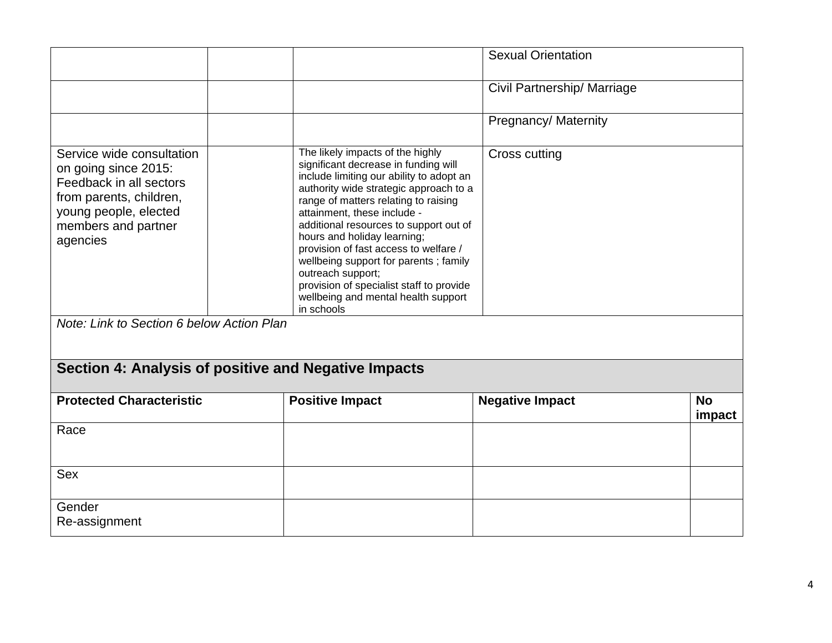|                                                                                                                                                                                                                  |                                                                                                                                                                                                                                                                                                                                                                                                                                                                                                                        | <b>Sexual Orientation</b>   |                     |
|------------------------------------------------------------------------------------------------------------------------------------------------------------------------------------------------------------------|------------------------------------------------------------------------------------------------------------------------------------------------------------------------------------------------------------------------------------------------------------------------------------------------------------------------------------------------------------------------------------------------------------------------------------------------------------------------------------------------------------------------|-----------------------------|---------------------|
|                                                                                                                                                                                                                  |                                                                                                                                                                                                                                                                                                                                                                                                                                                                                                                        | Civil Partnership/ Marriage |                     |
|                                                                                                                                                                                                                  |                                                                                                                                                                                                                                                                                                                                                                                                                                                                                                                        | Pregnancy/ Maternity        |                     |
| Service wide consultation<br>on going since 2015:<br>Feedback in all sectors<br>from parents, children,<br>young people, elected<br>members and partner<br>agencies<br>Note: Link to Section 6 below Action Plan | The likely impacts of the highly<br>significant decrease in funding will<br>include limiting our ability to adopt an<br>authority wide strategic approach to a<br>range of matters relating to raising<br>attainment, these include -<br>additional resources to support out of<br>hours and holiday learning;<br>provision of fast access to welfare /<br>wellbeing support for parents; family<br>outreach support;<br>provision of specialist staff to provide<br>wellbeing and mental health support<br>in schools | Cross cutting               |                     |
|                                                                                                                                                                                                                  |                                                                                                                                                                                                                                                                                                                                                                                                                                                                                                                        |                             |                     |
|                                                                                                                                                                                                                  | Section 4: Analysis of positive and Negative Impacts                                                                                                                                                                                                                                                                                                                                                                                                                                                                   |                             |                     |
| <b>Protected Characteristic</b>                                                                                                                                                                                  | <b>Positive Impact</b>                                                                                                                                                                                                                                                                                                                                                                                                                                                                                                 | <b>Negative Impact</b>      | <b>No</b><br>impact |
| Race                                                                                                                                                                                                             |                                                                                                                                                                                                                                                                                                                                                                                                                                                                                                                        |                             |                     |
| <b>Sex</b>                                                                                                                                                                                                       |                                                                                                                                                                                                                                                                                                                                                                                                                                                                                                                        |                             |                     |
| Gender                                                                                                                                                                                                           |                                                                                                                                                                                                                                                                                                                                                                                                                                                                                                                        |                             |                     |
| Re-assignment                                                                                                                                                                                                    |                                                                                                                                                                                                                                                                                                                                                                                                                                                                                                                        |                             |                     |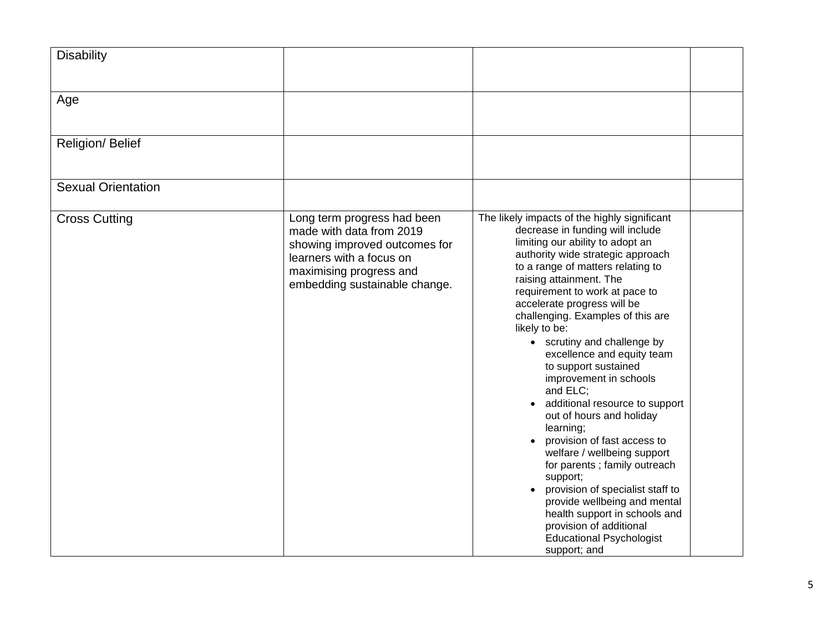| <b>Disability</b>         |                                                                                                                                                                                  |                                                                                                                                                                                                                                                                                                                                                                                                                                                                                                                                                                                                                                                                                                                                                                                                                                                       |  |
|---------------------------|----------------------------------------------------------------------------------------------------------------------------------------------------------------------------------|-------------------------------------------------------------------------------------------------------------------------------------------------------------------------------------------------------------------------------------------------------------------------------------------------------------------------------------------------------------------------------------------------------------------------------------------------------------------------------------------------------------------------------------------------------------------------------------------------------------------------------------------------------------------------------------------------------------------------------------------------------------------------------------------------------------------------------------------------------|--|
| Age                       |                                                                                                                                                                                  |                                                                                                                                                                                                                                                                                                                                                                                                                                                                                                                                                                                                                                                                                                                                                                                                                                                       |  |
| Religion/ Belief          |                                                                                                                                                                                  |                                                                                                                                                                                                                                                                                                                                                                                                                                                                                                                                                                                                                                                                                                                                                                                                                                                       |  |
| <b>Sexual Orientation</b> |                                                                                                                                                                                  |                                                                                                                                                                                                                                                                                                                                                                                                                                                                                                                                                                                                                                                                                                                                                                                                                                                       |  |
| <b>Cross Cutting</b>      | Long term progress had been<br>made with data from 2019<br>showing improved outcomes for<br>learners with a focus on<br>maximising progress and<br>embedding sustainable change. | The likely impacts of the highly significant<br>decrease in funding will include<br>limiting our ability to adopt an<br>authority wide strategic approach<br>to a range of matters relating to<br>raising attainment. The<br>requirement to work at pace to<br>accelerate progress will be<br>challenging. Examples of this are<br>likely to be:<br>• scrutiny and challenge by<br>excellence and equity team<br>to support sustained<br>improvement in schools<br>and ELC;<br>• additional resource to support<br>out of hours and holiday<br>learning;<br>provision of fast access to<br>welfare / wellbeing support<br>for parents; family outreach<br>support;<br>provision of specialist staff to<br>provide wellbeing and mental<br>health support in schools and<br>provision of additional<br><b>Educational Psychologist</b><br>support; and |  |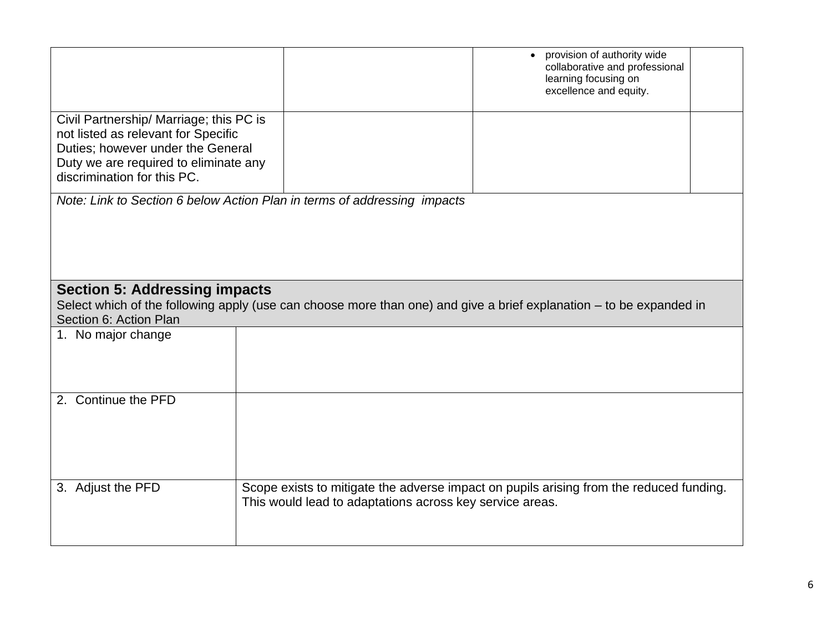|                                                                                                                                                                                             |                                                          | provision of authority wide<br>collaborative and professional<br>learning focusing on<br>excellence and equity. |  |  |
|---------------------------------------------------------------------------------------------------------------------------------------------------------------------------------------------|----------------------------------------------------------|-----------------------------------------------------------------------------------------------------------------|--|--|
| Civil Partnership/ Marriage; this PC is<br>not listed as relevant for Specific<br>Duties; however under the General<br>Duty we are required to eliminate any<br>discrimination for this PC. |                                                          |                                                                                                                 |  |  |
| Note: Link to Section 6 below Action Plan in terms of addressing impacts                                                                                                                    |                                                          |                                                                                                                 |  |  |
| <b>Section 5: Addressing impacts</b><br>Select which of the following apply (use can choose more than one) and give a brief explanation – to be expanded in<br>Section 6: Action Plan       |                                                          |                                                                                                                 |  |  |
| 1. No major change                                                                                                                                                                          |                                                          |                                                                                                                 |  |  |
| 2. Continue the PFD                                                                                                                                                                         |                                                          |                                                                                                                 |  |  |
| 3. Adjust the PFD                                                                                                                                                                           | This would lead to adaptations across key service areas. | Scope exists to mitigate the adverse impact on pupils arising from the reduced funding.                         |  |  |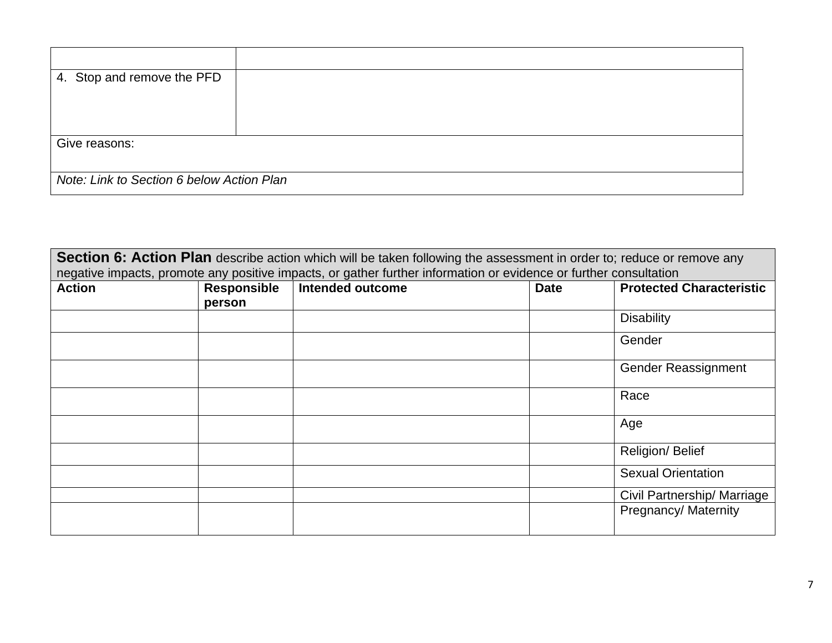| 4. Stop and remove the PFD                |  |  |
|-------------------------------------------|--|--|
|                                           |  |  |
|                                           |  |  |
|                                           |  |  |
|                                           |  |  |
|                                           |  |  |
|                                           |  |  |
| Give reasons:                             |  |  |
|                                           |  |  |
|                                           |  |  |
|                                           |  |  |
| Note: Link to Section 6 below Action Plan |  |  |
|                                           |  |  |
|                                           |  |  |

| Section 6: Action Plan describe action which will be taken following the assessment in order to; reduce or remove any |             |                         |             |                                 |
|-----------------------------------------------------------------------------------------------------------------------|-------------|-------------------------|-------------|---------------------------------|
| negative impacts, promote any positive impacts, or gather further information or evidence or further consultation     |             |                         |             |                                 |
| <b>Action</b>                                                                                                         | Responsible | <b>Intended outcome</b> | <b>Date</b> | <b>Protected Characteristic</b> |
|                                                                                                                       | person      |                         |             |                                 |
|                                                                                                                       |             |                         |             | <b>Disability</b>               |
|                                                                                                                       |             |                         |             | Gender                          |
|                                                                                                                       |             |                         |             | <b>Gender Reassignment</b>      |
|                                                                                                                       |             |                         |             | Race                            |
|                                                                                                                       |             |                         |             | Age                             |
|                                                                                                                       |             |                         |             | Religion/Belief                 |
|                                                                                                                       |             |                         |             | <b>Sexual Orientation</b>       |
|                                                                                                                       |             |                         |             | Civil Partnership/ Marriage     |
|                                                                                                                       |             |                         |             | Pregnancy/ Maternity            |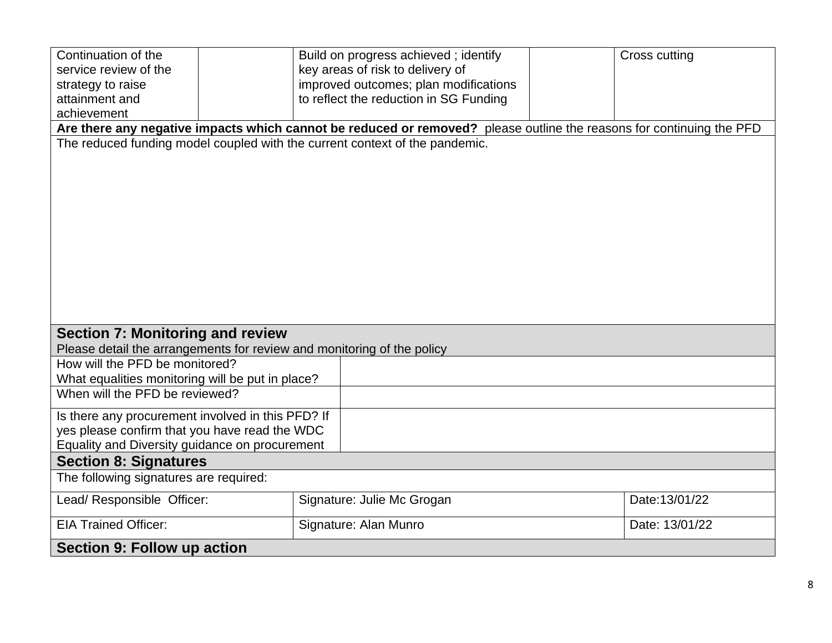| Continuation of the                                                    |  | Build on progress achieved; identify                                                                                 |  | Cross cutting  |  |
|------------------------------------------------------------------------|--|----------------------------------------------------------------------------------------------------------------------|--|----------------|--|
| service review of the                                                  |  | key areas of risk to delivery of                                                                                     |  |                |  |
| strategy to raise                                                      |  | improved outcomes; plan modifications                                                                                |  |                |  |
| attainment and                                                         |  | to reflect the reduction in SG Funding                                                                               |  |                |  |
| achievement                                                            |  |                                                                                                                      |  |                |  |
|                                                                        |  | Are there any negative impacts which cannot be reduced or removed? please outline the reasons for continuing the PFD |  |                |  |
|                                                                        |  | The reduced funding model coupled with the current context of the pandemic.                                          |  |                |  |
|                                                                        |  |                                                                                                                      |  |                |  |
|                                                                        |  |                                                                                                                      |  |                |  |
|                                                                        |  |                                                                                                                      |  |                |  |
|                                                                        |  |                                                                                                                      |  |                |  |
|                                                                        |  |                                                                                                                      |  |                |  |
|                                                                        |  |                                                                                                                      |  |                |  |
|                                                                        |  |                                                                                                                      |  |                |  |
|                                                                        |  |                                                                                                                      |  |                |  |
|                                                                        |  |                                                                                                                      |  |                |  |
|                                                                        |  |                                                                                                                      |  |                |  |
|                                                                        |  |                                                                                                                      |  |                |  |
|                                                                        |  |                                                                                                                      |  |                |  |
| <b>Section 7: Monitoring and review</b>                                |  |                                                                                                                      |  |                |  |
| Please detail the arrangements for review and monitoring of the policy |  |                                                                                                                      |  |                |  |
| How will the PFD be monitored?                                         |  |                                                                                                                      |  |                |  |
| What equalities monitoring will be put in place?                       |  |                                                                                                                      |  |                |  |
| When will the PFD be reviewed?                                         |  |                                                                                                                      |  |                |  |
|                                                                        |  |                                                                                                                      |  |                |  |
| Is there any procurement involved in this PFD? If                      |  |                                                                                                                      |  |                |  |
| yes please confirm that you have read the WDC                          |  |                                                                                                                      |  |                |  |
| Equality and Diversity guidance on procurement                         |  |                                                                                                                      |  |                |  |
| <b>Section 8: Signatures</b>                                           |  |                                                                                                                      |  |                |  |
| The following signatures are required:                                 |  |                                                                                                                      |  |                |  |
| Lead/ Responsible Officer:                                             |  | Signature: Julie Mc Grogan                                                                                           |  | Date:13/01/22  |  |
| <b>EIA Trained Officer:</b>                                            |  |                                                                                                                      |  | Date: 13/01/22 |  |
|                                                                        |  | Signature: Alan Munro                                                                                                |  |                |  |
| Section 9: Follow up action                                            |  |                                                                                                                      |  |                |  |